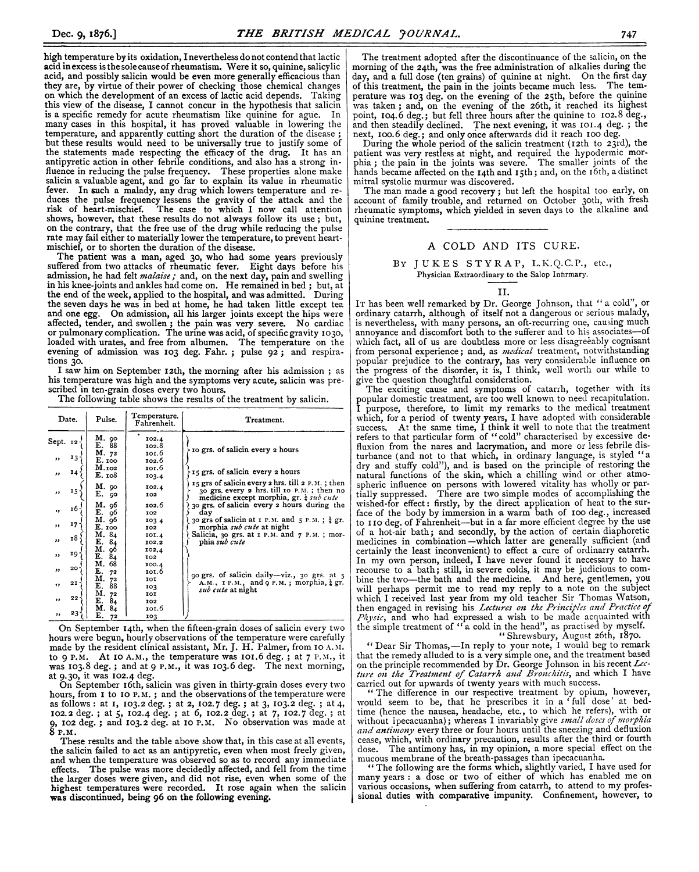high temperature by its oxidation, I nevertheless do not contend that lactic acid inexcess is the solecause of rheumatism. Were it so, quinine, salicylic acid, and possibly salicin would be even more generally efficacious than they are, by virtue of their power of checking those chemical changes on which the development of an excess of lactic acid depends. Taking this view of the disease, I cannot concur in the hypothesis that salicin is a specific remedy for acute rheumatism like quinine for ague. In many cases in this hospital, it has proved valuable in lowering the temperature, and apparently cutting short the duration of the disease ; but these results would need to be universally true to justify some of the statements made respecting the efficacy of the drug. It has an antipyretic action in other febrile conditions, and also has a strong influence in reducing the pulse frequency. These properties alone make salicin a valuable agent, and go far to explain its value in rheumatic fever. In such a malady, any drug which lowers temperature and reduces the pulse frequency lessens the gravity of the attack and the risk of heart-mischief. The case to which <sup>I</sup> now call attention shows, however, that these results do not always follow its use ; but, on the contrary, that the free use of the drug while reducing the pulse rate may fail either to materially lower the temperature, to prevent heartmischief, or to shorten the duration of the disease.

The patient was a man, aged 30, who had some years previously suffered from two attacks of rheumatic fever. Eight days before his admission, he had felt *malaise*; and, on the next day, pain and swelling in his knee-joints and ankles had come on. He remained in bed ; but, at the end of the week, applied to the hospital, and was admitted. During the seven days he was in bed at home, he had taken little except tea and one egg. On admission, all his larger joints except the hips were affected, tender, and swollen; the pain was very severe. No cardiac or pulmonary complication. The urine was acid, of specific gravity I030, loaded with urates, and free from albumen. The temperature on the evening of admission was 103 deg. Fahr. ; pulse 92; and respirations 30.

I saw him on September i2th, the morning after his admission ; as his temperature was high and the symptoms very acute, salicin was prescribed in ten-grain doses every two hours.

The following table shows the results of the treatment by salicin.

| Date.                                                                                                                                                                             | Pulse.                                                                                                                                                                                                                            | Temperature.<br>Fahrenheit.                                                                                                                                                                 | Treatment.                                                                                                                                                                                                                                                                                                                                                                                                                                                                                                                                                                                       |
|-----------------------------------------------------------------------------------------------------------------------------------------------------------------------------------|-----------------------------------------------------------------------------------------------------------------------------------------------------------------------------------------------------------------------------------|---------------------------------------------------------------------------------------------------------------------------------------------------------------------------------------------|--------------------------------------------------------------------------------------------------------------------------------------------------------------------------------------------------------------------------------------------------------------------------------------------------------------------------------------------------------------------------------------------------------------------------------------------------------------------------------------------------------------------------------------------------------------------------------------------------|
| Sept. 12-<br>$13 -$<br>,,<br>14 <sup>1</sup><br>,,<br>$15 -$<br>,,<br>$16 -$<br>$\bullet$<br>17.<br>$, \,$<br>18 ·<br>,,<br>19.<br>,,<br>$20 -$<br>,,<br>21<br>,,<br>$22 -$<br>,, | M. 90<br>E. 88<br>M. 72<br>E. 100<br>M.102<br>E. 108<br>M. 90<br>E. 90<br>M. 96<br>E. 96<br>M. 96<br>E. 100<br>M. 84<br>E. 84<br>M. 96<br>E.<br>84<br>M. 68<br>E.<br>72<br>М.<br>72<br>E.<br>88<br>М.<br>72<br>E.<br>-84<br>M. 84 | 102.4<br>102.8<br>101.6<br>102.6<br>101.6<br>103.4<br>102.4<br>102<br>102.6<br>102<br>103.4<br>102<br>101.4<br>102.2<br>102,4<br>102<br>100.4<br>101.6<br>IOI<br>103<br>101<br>102<br>101.6 | to grs. of salicin every 2 hours<br>15 grs. of salicin every 2 hours<br>15 grs of salicin every 2 hrs. till 2 P.M.; then<br>30 grs. every 2 hrs. till 10 P.M.; then no<br>medicine except morphia, gr. $\frac{1}{4}$ sub cute<br>30 grs. of salicin every 2 hours during the<br>day<br>30 grs of salicin at $r$ P.M. and $5$ P.M.; $\frac{1}{4}$ gr.<br>morphia <i>sub cute</i> at night<br>Salicia, 30 grs. at $r$ P.M. and $r$ P.M.; mor-<br>phia sub cute<br>90 grs. of salicin daily-viz., 30 grs. at 5<br>A.M., IP.M., and $q$ P.M.; morphia, $\frac{1}{4}$ gr.<br><i>sub cute</i> at night |
| 23.<br>,,                                                                                                                                                                         | E.<br>72                                                                                                                                                                                                                          | 103                                                                                                                                                                                         |                                                                                                                                                                                                                                                                                                                                                                                                                                                                                                                                                                                                  |

On September 14th, when the fifteen-grain doses of salicin every two hours were begun, hourly observations of the temperature were carefully made by the resident clinical assistant, Mr. J. H. Palmer, from IO A. M. to 9 P.M. At 10 A.M., the temperature was  $101.6$  deg.; at  $7$  P.M., it was 103.8 deg.; and at 9 P.M., it was 103.6 deg. The next morning,

at 9.30, it was I02.4 deg. On September i6th, salicin was given in thirty-grain doses every two hours, from I to IO P.M.; and the observations of the temperature were as follows: at I, 103.2 deg. ; at 2, 102.7 deg. ; at 3, 103.2 deg. ; at 4, 102.2 deg.; at 5, I02.4 deg. ; at 6, 102.2 deg.; at 7, I02.7 deg. ; at 9, I02 deg.; and 103.2 deg. at IO P.maI. No observation was made at 8 P.M.

These results and the table above show that, in this case at all events, the salicin failed to act as an antipyretic, even when most freely given, and when the temperature was observed so as to record any immediate effects. The pulse was more decidedly affected, and fell from the time the larger doses were given, and did not rise, even when some of the highest temperatures were recorded. It rose again when the salicin was discontinued, being 96 on the following evening.

The treatment adopted after the discontinuance of the salicin, on the morning of the 24th, was the free administration of alkalies during the day, and <sup>a</sup> full dose (ten grains) of quinine at night. On the first day of this treatment, the pain in the joints became much less. The temperature was 103 deg. on the evening of the 25th, before the quinine was taken; and, on the evening of the 26th, it reached its highest point, 104.6 deg.; but fell three hours after the quinine to 102.8 deg., and then steadily declined. The next evening, it was 101.4 deg. ; the

next, ioo.6 deg.; and only once afterwards did it reach IOO deg. During the whole period of the salicin treatment (12th to 23rd), the patient was very restless at night, and required the hypodermic mor-phia; the pain in the joints was severe. The smaller joints of the hands became affected on the 14th and 15th; and, on the 16th, a distinct mitral systolic murmur was discovered.

The man made a good recovery; but left the hospital too early, on account of family trouble, and returned on October 30th, with fresh rheumatic symptoms, which yielded in seven days to the alkaline and quinine treatment.

## A COLD AND ITS CURE.

BY JUKES STYRAP, L.K.Q.C.P., etc., Physician Extraordinary to the Salop Infirmary.

II.

IT has been well remarked by Dr. George Johnson, that " a cold", or ordinary catarrh, although of itself not a dangerous or serious malady, is nevertheless, with many persons, an oft-recurring one, causing much annoyance and discomfort both to the sufferer and to his associates-of which fact, all of us are doubtless more or less disagreeably cognisant from personal experience; and, as *medical* treatment, notwithstanding popular prejudice to the contrary, has very considerable influence on the progress of the disorder, it is, <sup>I</sup> think, well worth our while to give the question thoughtful consideration.

The exciting cause and symptoms of catarrh, together with its popular domestic treatment, are too well known to need recapitulation. <sup>I</sup> purpose, therefore, to limit my remarks to the medical treatment which, for a period of twenty years, I have adopted with considerable success. At the same time, <sup>I</sup> think it well to note that the treatment refers to that particular form of "cold" characterised by excessive de-fluxion from the nares and lacrymation, and more or less febrile disturbance (and not to that which, in ordinary language, is styled "a dry and stuffy cold"), and is based on the principle of restoring the natural functions of the skin, which a chilling wind or other atmospheric influence on persons with lowered vitality has wholly or par-tially suppressed. There are two simple modes of accomplishing the wished-for effect: firstly, by the direct application of heat to the surface of the body by immersion in a warm bath of i00 deg., increased to <sup>I</sup> I0 deg. of Fahrenheit-but in a far more efficient degree by the use of a hot-air bath; and secondly, by the action of certain diaphoretic medicines in combination—which latter are generally sufficient (and certainly the least inconvenient) to effect a cure of ordinarry catarrh. In my own person, indeed, <sup>I</sup> have never found it necessary to have recourse to a bath; still, in severe colds, it may be judicious to combine the two-the bath and the medicine. And here, gentlemen, you will perhaps permit me to read my reply to a note on the subject which I received last year from my old teacher Sir Thomas Watson, then engaged in revising his Lectures on the Principles and Practice of *Physic*, and who had expressed a wish to be made acquainted with the simple treatment of "a cold in the head", as practised by myself.<br>
"Shrewsbury, August 26th, 1870.<br>
"Dear Sir Thomas,—In reply to your note, I would be

that the remedy alluded to is a very simple one, and the treatment based on the principle recommended by Dr. George Johnson in his recent Lec-<br>ture on the Treatment of Catarrh and Bronchitis, and which I have carried out for upwards of twenty years with much success.

" The difference in our respective treatment by opium, however, would seem to be, that he prescribes it in a ' full dose' at bedtime (hence the nausea, headache, etc., to which he refers), with or without ipecacuanha); whereas I invariably give small doses of morphia and antimony every three or four hours until the sneezing and defluxion cease, which, with ordinary precaution, results after the third or fourth dose. The antimony has, in my opinion, a more special effect on the mucous membrane of the breath-passages than ipecacuanha.

" The following are the forms which, slightly varied, <sup>I</sup> have used for many years : <sup>a</sup> dose or two of either of which has enabled me on various occasions, when suffering from catarrh, to attend to my professional duties with comparative impunity. Confinement, however, to